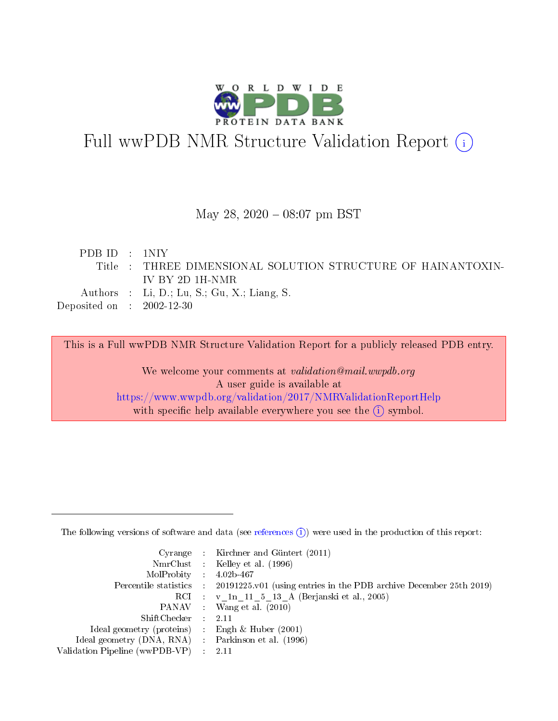

# Full wwPDB NMR Structure Validation Report (i)

#### May 28,  $2020 - 08:07$  pm BST

| PDBID : 1NIY                                              |                                                              |
|-----------------------------------------------------------|--------------------------------------------------------------|
|                                                           | Title : THREE DIMENSIONAL SOLUTION STRUCTURE OF HAINANTOXIN- |
|                                                           | IV BY 2D 1H-NMR.                                             |
|                                                           | Authors : Li, D.; Lu, S.; Gu, X.; Liang, S.                  |
| $\rm Deposited\; on \;\; : \;\; 2002\text{-}12\text{-}30$ |                                                              |
|                                                           |                                                              |

This is a Full wwPDB NMR Structure Validation Report for a publicly released PDB entry.

We welcome your comments at validation@mail.wwpdb.org A user guide is available at <https://www.wwpdb.org/validation/2017/NMRValidationReportHelp> with specific help available everywhere you see the  $(i)$  symbol.

The following versions of software and data (see [references](https://www.wwpdb.org/validation/2017/NMRValidationReportHelp#references)  $(1)$ ) were used in the production of this report:

|                                                     | Cyrange : Kirchner and Güntert $(2011)$                                                    |
|-----------------------------------------------------|--------------------------------------------------------------------------------------------|
|                                                     | NmrClust : Kelley et al. (1996)                                                            |
| $MolProbability$ 4.02b-467                          |                                                                                            |
|                                                     | Percentile statistics : 20191225.v01 (using entries in the PDB archive December 25th 2019) |
|                                                     | RCI : v 1n 11 5 13 A (Berjanski et al., 2005)                                              |
|                                                     | PANAV Wang et al. (2010)                                                                   |
| $ShiftChecker$ 2.11                                 |                                                                                            |
| Ideal geometry (proteins) : Engh $\&$ Huber (2001)  |                                                                                            |
| Ideal geometry (DNA, RNA) : Parkinson et al. (1996) |                                                                                            |
| Validation Pipeline (wwPDB-VP)                      | $\sim 2.11$                                                                                |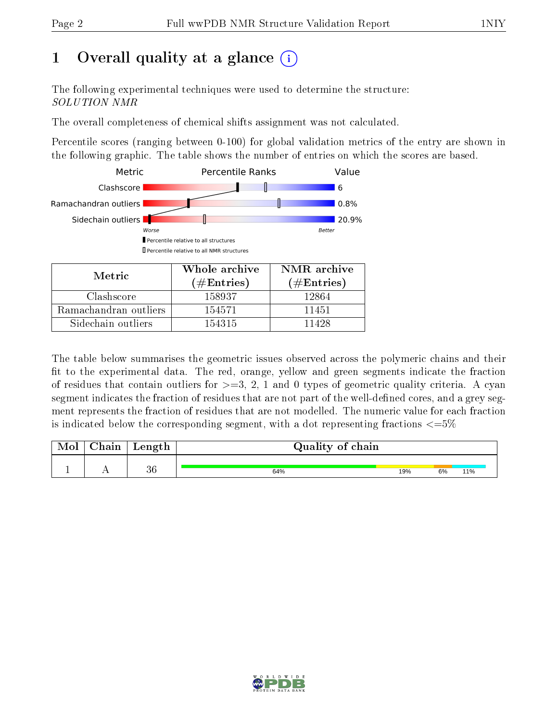## 1 [O](https://www.wwpdb.org/validation/2017/NMRValidationReportHelp#overall_quality)verall quality at a glance (i)

The following experimental techniques were used to determine the structure: SOLUTION NMR

The overall completeness of chemical shifts assignment was not calculated.

Percentile scores (ranging between 0-100) for global validation metrics of the entry are shown in the following graphic. The table shows the number of entries on which the scores are based.



Ramachandran outliers | 154571 | 11451 Sidechain outliers 154315 11428

The table below summarises the geometric issues observed across the polymeric chains and their fit to the experimental data. The red, orange, yellow and green segments indicate the fraction of residues that contain outliers for  $>=3, 2, 1$  and 0 types of geometric quality criteria. A cyan segment indicates the fraction of residues that are not part of the well-defined cores, and a grey segment represents the fraction of residues that are not modelled. The numeric value for each fraction is indicated below the corresponding segment, with a dot representing fractions  $\epsilon = 5\%$ 

| Mol | $\gamma$ hain | Length | Quality of chain |     |    |     |
|-----|---------------|--------|------------------|-----|----|-----|
|     |               |        |                  |     |    |     |
|     |               | 36     | 64%              | 19% | 6% | 11% |

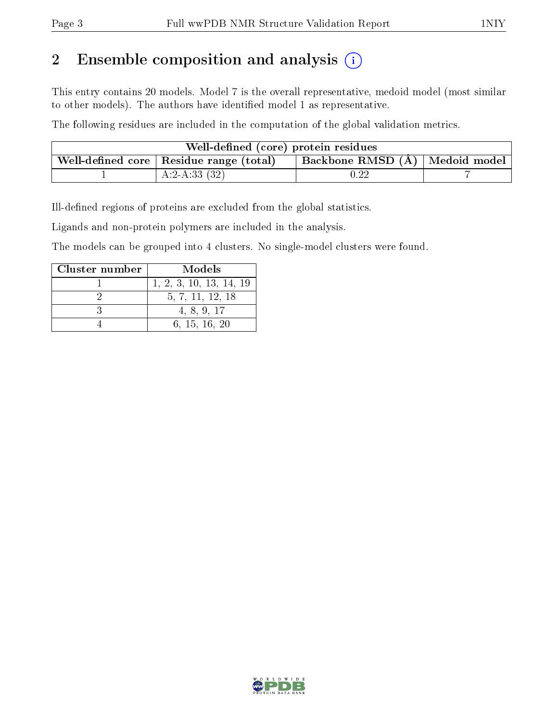## 2 Ensemble composition and analysis  $(i)$

This entry contains 20 models. Model 7 is the overall representative, medoid model (most similar to other models). The authors have identified model 1 as representative.

The following residues are included in the computation of the global validation metrics.

| Well-defined (core) protein residues      |                                  |  |
|-------------------------------------------|----------------------------------|--|
| Well-defined core   Residue range (total) | Backbone RMSD (Å)   Medoid model |  |
| A:2-A:33 $(32)$                           | $\rm 0.22$                       |  |

Ill-defined regions of proteins are excluded from the global statistics.

Ligands and non-protein polymers are included in the analysis.

The models can be grouped into 4 clusters. No single-model clusters were found.

| Cluster number | Models                  |
|----------------|-------------------------|
|                | 1, 2, 3, 10, 13, 14, 19 |
|                | 5, 7, 11, 12, 18        |
|                | 4, 8, 9, 17             |
|                | 6, 15, 16, 20           |

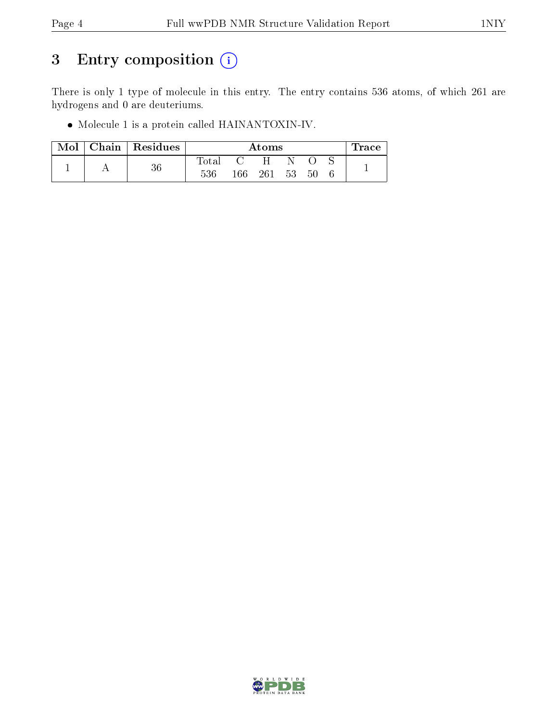## 3 Entry composition (i)

There is only 1 type of molecule in this entry. The entry contains 536 atoms, of which 261 are hydrogens and 0 are deuteriums.

Molecule 1 is a protein called HAINANTOXIN-IV.

| Mol | Chain   Residues |                |     | Atoms |    |    | race |
|-----|------------------|----------------|-----|-------|----|----|------|
|     |                  | $_{\rm Total}$ |     | H     |    |    |      |
|     | 36               | 536            | 166 | 261   | 53 | 50 |      |

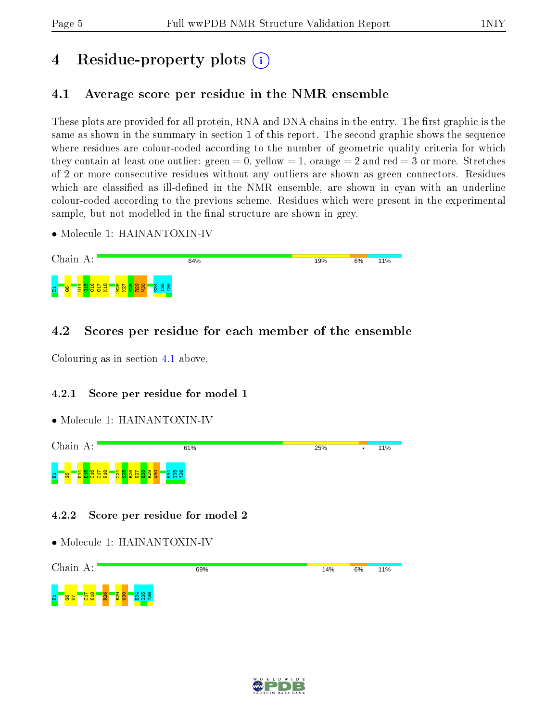## 4 Residue-property plots  $\binom{1}{1}$

## <span id="page-4-0"></span>4.1 Average score per residue in the NMR ensemble

These plots are provided for all protein, RNA and DNA chains in the entry. The first graphic is the same as shown in the summary in section 1 of this report. The second graphic shows the sequence where residues are colour-coded according to the number of geometric quality criteria for which they contain at least one outlier: green  $= 0$ , yellow  $= 1$ , orange  $= 2$  and red  $= 3$  or more. Stretches of 2 or more consecutive residues without any outliers are shown as green connectors. Residues which are classified as ill-defined in the NMR ensemble, are shown in cyan with an underline colour-coded according to the previous scheme. Residues which were present in the experimental sample, but not modelled in the final structure are shown in grey.

• Molecule 1: HAINANTOXIN-IV



## 4.2 Scores per residue for each member of the ensemble

Colouring as in section [4.1](#page-4-0) above.

### 4.2.1 Score per residue for model 1

• Molecule 1: HAINANTOXIN-IV



#### 4.2.2 Score per residue for model 2



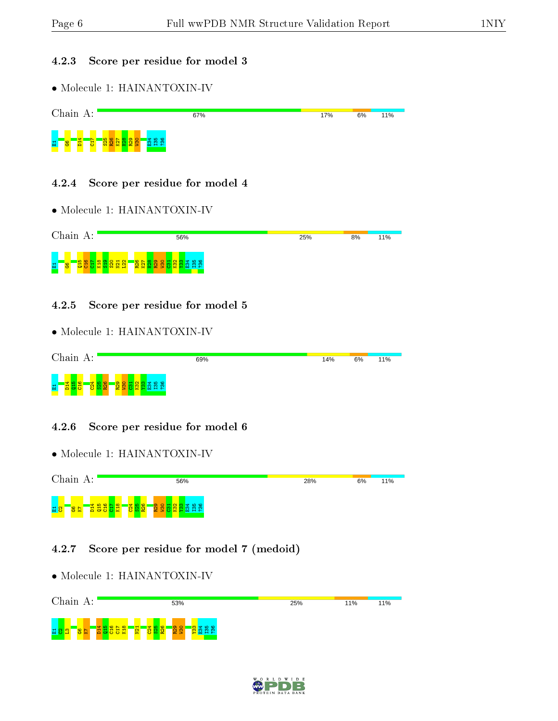#### 4.2.3 Score per residue for model 3

• Molecule 1: HAINANTOXIN-IV

|   | Chain A: |                       |        |             |   |      |     |  |                   |  |  |  | 67% |  |  |  |  |  |  |  |  |  |  |  |  | 17% |  | 6% |  | 11% |  |
|---|----------|-----------------------|--------|-------------|---|------|-----|--|-------------------|--|--|--|-----|--|--|--|--|--|--|--|--|--|--|--|--|-----|--|----|--|-----|--|
| 희 | <b>G</b> | <b>p<sub>14</sub></b> | r<br>릉 | ற<br>828825 | G | စ္စာ | င္က |  | 388<br><b>NHA</b> |  |  |  |     |  |  |  |  |  |  |  |  |  |  |  |  |     |  |    |  |     |  |

#### 4.2.4 Score per residue for model 4

• Molecule 1: HAINANTOXIN-IV



#### 4.2.5 Score per residue for model 5

• Molecule 1: HAINANTOXIN-IV

|   | Chain A: |  |  |   |   |    |  |  |                        | 69% |  | 14% | 6% | 11% |
|---|----------|--|--|---|---|----|--|--|------------------------|-----|--|-----|----|-----|
| 圖 | Ä        |  |  | œ | д | e. |  |  | ုပ္ေလး<br><b>PP 29</b> |     |  |     |    |     |

#### 4.2.6 Score per residue for model 6

• Molecule 1: HAINANTOXIN-IV



#### 4.2.7 Score per residue for model 7 (medoid)



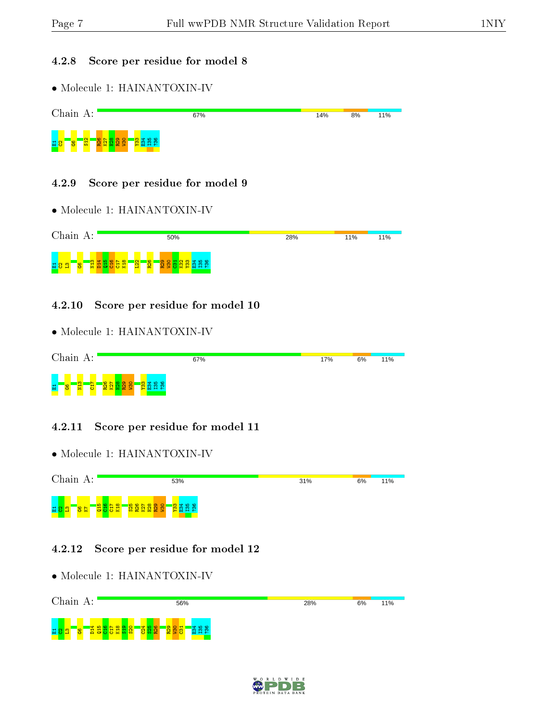#### 4.2.8 Score per residue for model 8

• Molecule 1: HAINANTOXIN-IV



#### 4.2.9 Score per residue for model 9

• Molecule 1: HAINANTOXIN-IV



#### 4.2.10 Score per residue for model 10

• Molecule 1: HAINANTOXIN-IV

|   | Chain |               | А:            |   |                      |  |                                               | 67% | 17% | 6% | 11% |
|---|-------|---------------|---------------|---|----------------------|--|-----------------------------------------------|-----|-----|----|-----|
| 圖 | န္တ   | $\frac{2}{2}$ | <b>N</b><br>흉 | ō | $\sigma$<br>1일 1일 1일 |  | <mark>စ္ပြဲ</mark> ဆုံးစံ<br>းကိ<br>m.<br>-67 |     |     |    |     |

#### 4.2.11 Score per residue for model 11

• Molecule 1: HAINANTOXIN-IV



#### 4.2.12 Score per residue for model 12



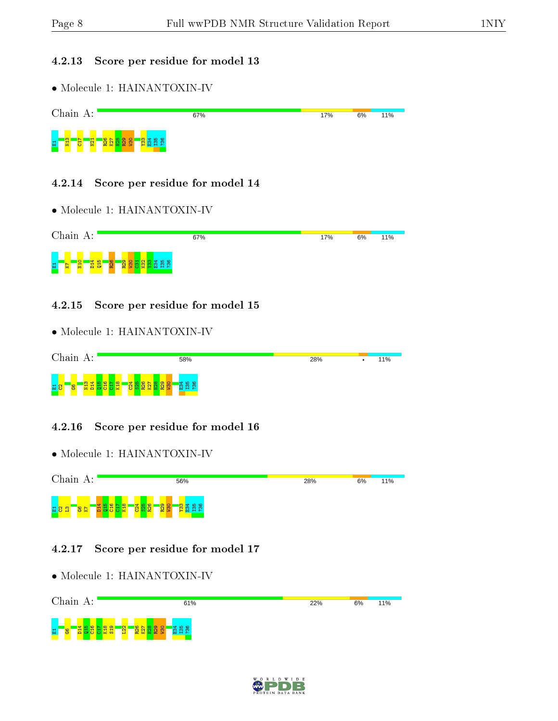#### 4.2.13 Score per residue for model 13

• Molecule 1: HAINANTOXIN-IV



#### 4.2.14 Score per residue for model 14

• Molecule 1: HAINANTOXIN-IV



#### 4.2.15 Score per residue for model 15

• Molecule 1: HAINANTOXIN-IV



#### 4.2.16 Score per residue for model 16

• Molecule 1: HAINANTOXIN-IV



#### 4.2.17 Score per residue for model 17



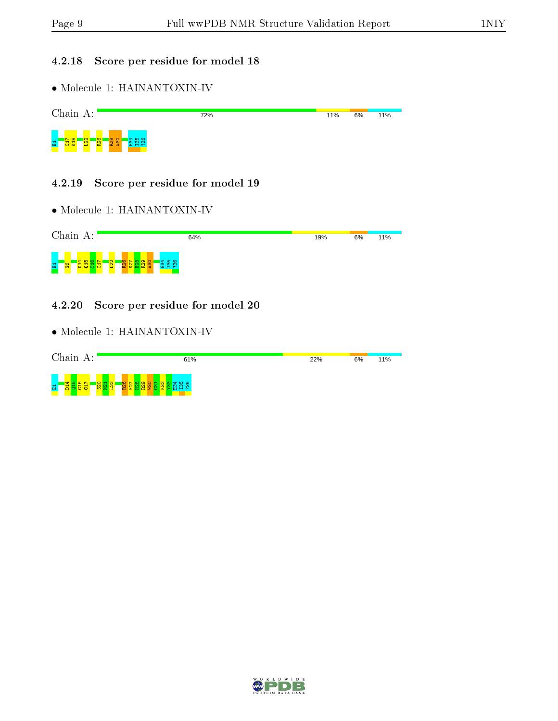#### 4.2.18 Score per residue for model 18

• Molecule 1: HAINANTOXIN-IV



#### 4.2.19 Score per residue for model 19

• Molecule 1: HAINANTOXIN-IV



#### 4.2.20 Score per residue for model 20



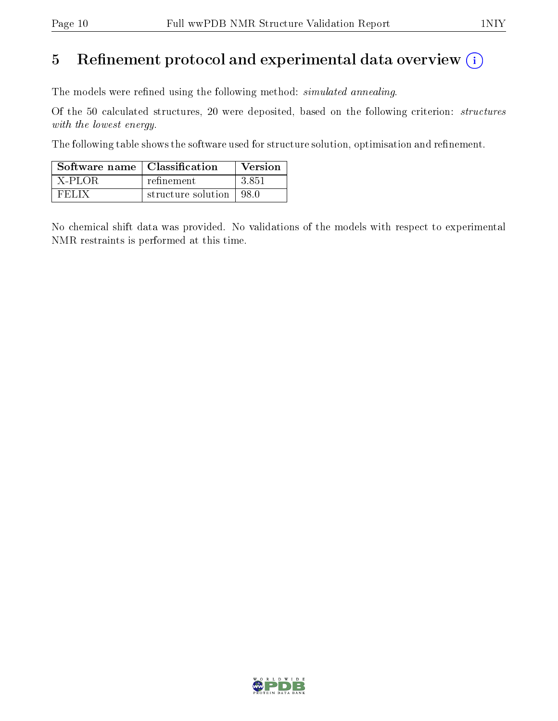## 5 Refinement protocol and experimental data overview  $(i)$

The models were refined using the following method: *simulated annealing*.

Of the 50 calculated structures, 20 were deposited, based on the following criterion: structures with the lowest energy.

The following table shows the software used for structure solution, optimisation and refinement.

| Software name   Classification |                           | Version |
|--------------------------------|---------------------------|---------|
| $^+$ X-PLOR.                   | refinement                | -3.851  |
| <b>FELIX</b>                   | structure solution   98.0 |         |

No chemical shift data was provided. No validations of the models with respect to experimental NMR restraints is performed at this time.

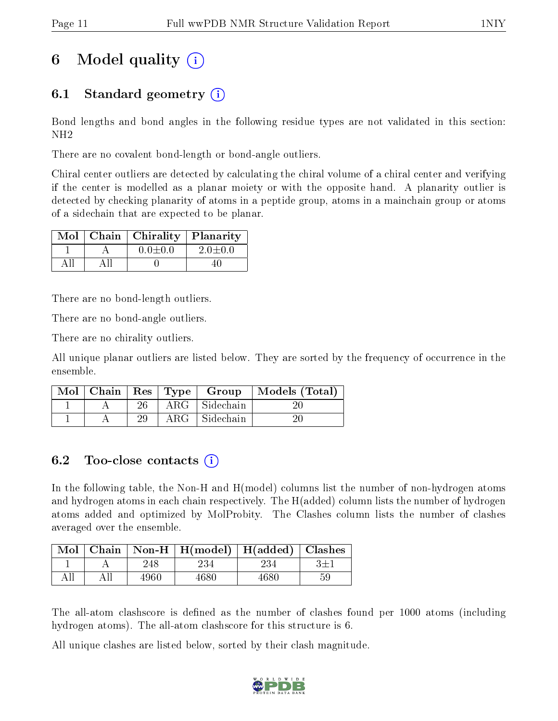## 6 Model quality  $(i)$

## 6.1 Standard geometry (i)

Bond lengths and bond angles in the following residue types are not validated in this section: NH2

There are no covalent bond-length or bond-angle outliers.

Chiral center outliers are detected by calculating the chiral volume of a chiral center and verifying if the center is modelled as a planar moiety or with the opposite hand. A planarity outlier is detected by checking planarity of atoms in a peptide group, atoms in a mainchain group or atoms of a sidechain that are expected to be planar.

|  | Mol   Chain   Chirality   Planarity |               |
|--|-------------------------------------|---------------|
|  | $0.0 \pm 0.0$                       | $2.0 \pm 0.0$ |
|  |                                     |               |

There are no bond-length outliers.

There are no bond-angle outliers.

There are no chirality outliers.

All unique planar outliers are listed below. They are sorted by the frequency of occurrence in the ensemble.

|  |    |               | Mol   Chain   Res   Type   Group   Models (Total) |
|--|----|---------------|---------------------------------------------------|
|  | 26 | ARG Sidechain |                                                   |
|  | 29 | ARG Sidechain |                                                   |

## 6.2 Too-close contacts  $(i)$

In the following table, the Non-H and H(model) columns list the number of non-hydrogen atoms and hydrogen atoms in each chain respectively. The H(added) column lists the number of hydrogen atoms added and optimized by MolProbity. The Clashes column lists the number of clashes averaged over the ensemble.

|     |      | $\boxed{\text{Mol}$ Chain   Non-H   H(model)   H(added)   Clashes |      |    |
|-----|------|-------------------------------------------------------------------|------|----|
|     | 248  | 234                                                               | 234  |    |
| All | 4960 | 4680                                                              | 4680 | 59 |

The all-atom clashscore is defined as the number of clashes found per 1000 atoms (including hydrogen atoms). The all-atom clashscore for this structure is 6.

All unique clashes are listed below, sorted by their clash magnitude.

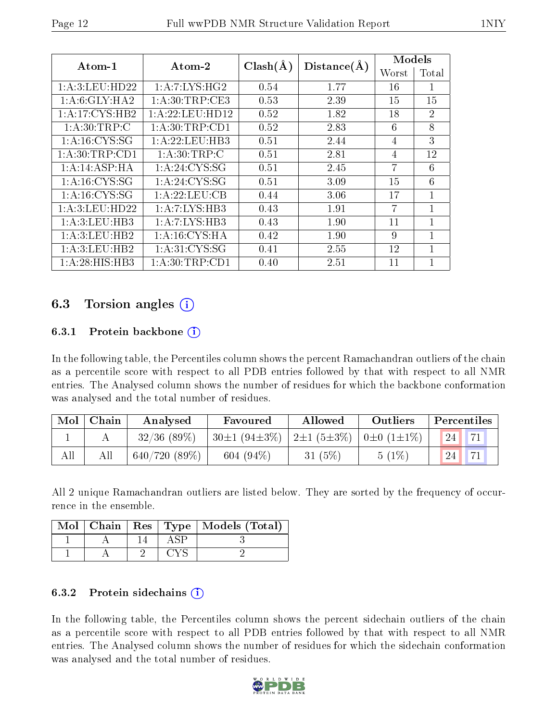| Atom-1            | Atom-2              | $Clash(\AA)$ |             | Models |                |  |
|-------------------|---------------------|--------------|-------------|--------|----------------|--|
|                   |                     |              | Distance(A) | Worst  | Total          |  |
| 1:A:3:LEU:HD22    | 1:A:7:LYS:HG2       | 0.54         | 1.77        | 16     | 1              |  |
| 1: A:6: GLY: HA2  | 1: A:30:TRP:CE3     | 0.53         | 2.39        | 15     | 15             |  |
| 1: A:17: CYS:HB2  | 1: A: 22: LEU: HD12 | 0.52         | 1.82        | 18     | $\overline{2}$ |  |
| 1: A:30:TRP:C     | 1: A:30:TRP:CD1     | 0.52         | 2.83        | 6      | 8              |  |
| 1: A:16: CYS:SG   | 1: A:22:LEU:HB3     | 0.51         | 2.44        | 4      | 3              |  |
| 1: A:30:TRP:CD1   | 1: A:30:TRP: C      | 0.51         | 2.81        | 4      | 12             |  |
| 1:A:14:ASP:HA     | 1:A:24:CYS:SG       | 0.51         | 2.45        | 7      | 6              |  |
| 1: A:16: CYS:SG   | 1: A:24:CYS:SG      | 0.51         | 3.09        | 15     | 6              |  |
| 1: A:16: CYS:SG   | 1: A: 22: LEU: CB   | 0.44         | 3.06        | 17     | 1              |  |
| 1: A:3: LEU: HD22 | 1:A:7:LYS:HB3       | 0.43         | 1.91        | 7      | 1              |  |
| 1: A:3: LEU: HB3  | 1: A: 7: LYS: HB3   | 0.43         | 1.90        | 11     | 1              |  |
| 1: A:3: LEU: HB2  | 1: A:16:CYS:HA      | 0.42         | 1.90        | 9      |                |  |
| 1: A:3: LEU: HB2  | 1: A:31: CYS:SG     | 0.41         | 2.55        | 12     | 1              |  |
| 1:A:28:HIS:HB3    | 1: A:30:TRP:CD1     | 0.40         | 2.51        | 11     |                |  |

## 6.3 Torsion angles  $(i)$

#### 6.3.1 Protein backbone  $(i)$

In the following table, the Percentiles column shows the percent Ramachandran outliers of the chain as a percentile score with respect to all PDB entries followed by that with respect to all NMR entries. The Analysed column shows the number of residues for which the backbone conformation was analysed and the total number of residues.

| Mol | Chain | Analysed       | Favoured                                                                  | Allowed   | Outliers | Percentiles |         |  |
|-----|-------|----------------|---------------------------------------------------------------------------|-----------|----------|-------------|---------|--|
|     |       | $32/36$ (89\%) | $30\pm1$ (94 $\pm3\%$ )   2 $\pm1$ (5 $\pm3\%$ )   0 $\pm0$ (1 $\pm1\%$ ) |           |          | 24          | $H - 1$ |  |
| All |       | 640/720(89%)   | $604(94\%)$                                                               | 31 $(5%)$ | 5(1%)    | 24          | $-1$    |  |

All 2 unique Ramachandran outliers are listed below. They are sorted by the frequency of occurrence in the ensemble.

|  |  | Mol   Chain   Res   Type   Models (Total) |
|--|--|-------------------------------------------|
|  |  |                                           |
|  |  |                                           |

#### 6.3.2 Protein sidechains  $\hat{1}$

In the following table, the Percentiles column shows the percent sidechain outliers of the chain as a percentile score with respect to all PDB entries followed by that with respect to all NMR entries. The Analysed column shows the number of residues for which the sidechain conformation was analysed and the total number of residues.

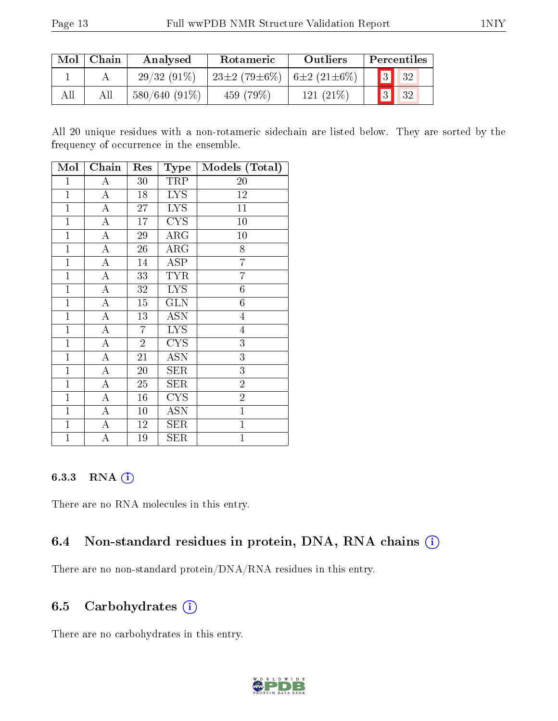| $\operatorname{Mol}$ | Chain | Analysed        | <b>Rotameric</b>                      | Outliers    | Percentiles |  |                          |
|----------------------|-------|-----------------|---------------------------------------|-------------|-------------|--|--------------------------|
|                      |       | $29/32(91\%)$   | $23\pm2(79\pm6\%)$ 6 $\pm2(21\pm6\%)$ |             |             |  | $\boxed{3}$ $\boxed{32}$ |
| All                  |       | $580/640(91\%)$ | $459(79\%)$                           | $121(21\%)$ |             |  | 32                       |

All 20 unique residues with a non-rotameric sidechain are listed below. They are sorted by the frequency of occurrence in the ensemble.

| Mol            | ${\bf Chain}$      | Res            | Type                                    | Models (Total)   |
|----------------|--------------------|----------------|-----------------------------------------|------------------|
| $\mathbf{1}$   | A                  | 30             | TRP                                     | 20               |
| $\mathbf{1}$   | $\overline{\rm A}$ | 18             | <b>LYS</b>                              | 12               |
| $\overline{1}$ | $\boldsymbol{A}$   | 27             | <b>LYS</b>                              | 11               |
| $\mathbf{1}$   | A                  | 17             | $\overline{\text{C} \text{Y}} \text{S}$ | 10               |
| $\mathbf{1}$   | A                  | 29             | ARG                                     | $10\,$           |
| $\mathbf{1}$   | A                  | 26             | $\rm{ARG}$                              | 8                |
| $\mathbf{1}$   | $\boldsymbol{A}$   | 14             | ASP                                     | $\overline{7}$   |
| $\mathbf{1}$   | $\mathbf{A}$       | 33             | <b>TYR</b>                              | $\overline{7}$   |
| $\mathbf{1}$   | A                  | 32             | <b>LYS</b>                              | $\boldsymbol{6}$ |
| $\mathbf{1}$   | A                  | 15             | <b>GLN</b>                              | $\overline{6}$   |
| $\mathbf{1}$   | A                  | 13             | <b>ASN</b>                              | $\overline{4}$   |
| $\mathbf{1}$   | $\boldsymbol{A}$   | $\overline{7}$ | <b>LYS</b>                              | $\overline{4}$   |
| $\mathbf{1}$   | A                  | $\overline{2}$ | $\overline{\text{CYS}}$                 | $\overline{3}$   |
| $\mathbf{1}$   | A                  | 21             | <b>ASN</b>                              | $\overline{3}$   |
| $\mathbf{1}$   | $\mathbf{A}$       | 20             | <b>SER</b>                              | $\overline{3}$   |
| $\mathbf{1}$   | $\overline{\rm A}$ | 25             | SER                                     | $\overline{2}$   |
| $\mathbf{1}$   | $\mathbf{A}$       | 16             | <b>CYS</b>                              | $\overline{2}$   |
| $\mathbf{1}$   | A                  | 10             | ASN                                     | $\mathbf{1}$     |
| $\mathbf{1}$   | A                  | 12             | SER                                     | $\mathbf{1}$     |
| $\mathbf{1}$   | А                  | 19             | SER                                     | $\mathbf{1}$     |

#### 6.3.3 RNA (i)

There are no RNA molecules in this entry.

### 6.4 Non-standard residues in protein, DNA, RNA chains  $(i)$

There are no non-standard protein/DNA/RNA residues in this entry.

#### 6.5 Carbohydrates  $(i)$

There are no carbohydrates in this entry.

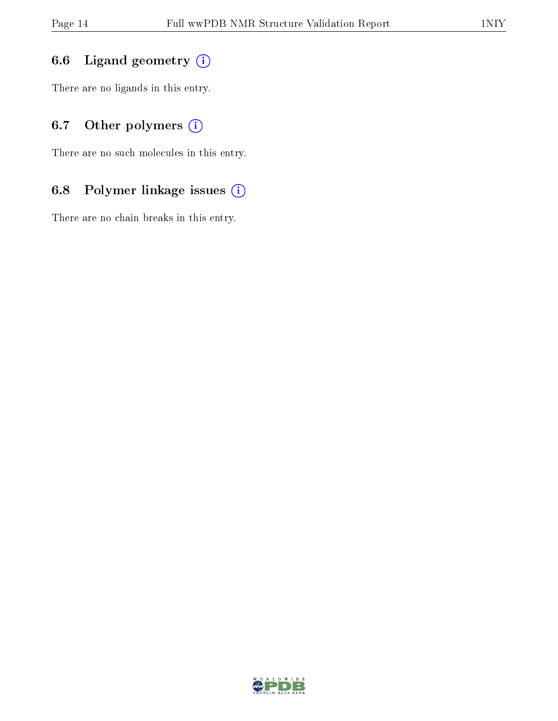## 6.6 Ligand geometry  $(i)$

There are no ligands in this entry.

## 6.7 [O](https://www.wwpdb.org/validation/2017/NMRValidationReportHelp#nonstandard_residues_and_ligands)ther polymers (i)

There are no such molecules in this entry.

## 6.8 Polymer linkage issues (i)

There are no chain breaks in this entry.